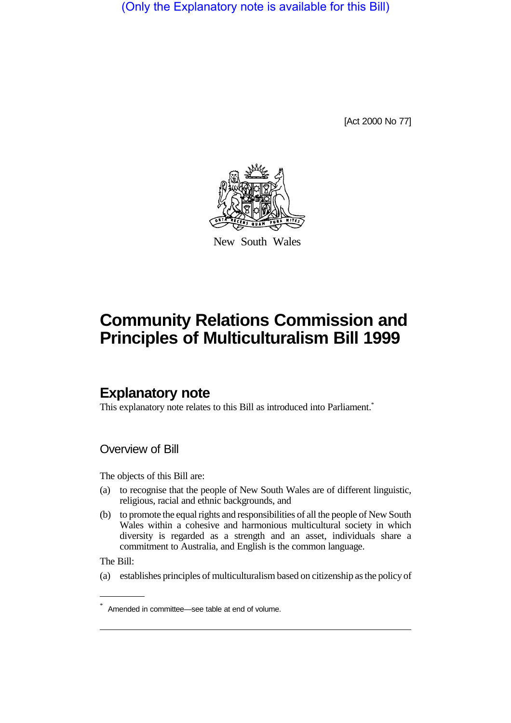(Only the Explanatory note is available for this Bill)

[Act 2000 No 77]



New South Wales

# **Community Relations Commission and Principles of Multiculturalism Bill 1999**

# **Explanatory note**

This explanatory note relates to this Bill as introduced into Parliament.<sup>\*</sup>

Overview of Bill

The objects of this Bill are:

- (a) to recognise that the people of New South Wales are of different linguistic, religious, racial and ethnic backgrounds, and
- (b) to promote the equal rights and responsibilities of all the people of New South Wales within a cohesive and harmonious multicultural society in which diversity is regarded as a strength and an asset, individuals share a commitment to Australia, and English is the common language.

The Bill:

(a) establishes principles of multiculturalism based on citizenship as the policy of

<sup>\*</sup> Amended in committee—see table at end of volume.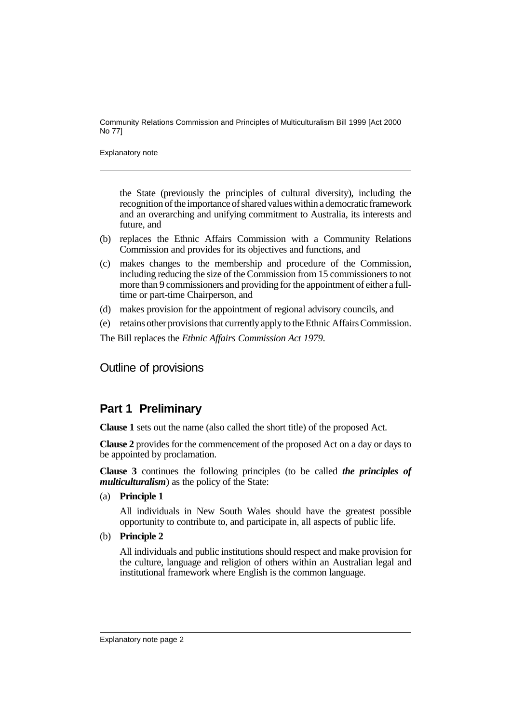Explanatory note

the State (previously the principles of cultural diversity), including the recognition of the importance of shared values within a democratic framework and an overarching and unifying commitment to Australia, its interests and future, and

- (b) replaces the Ethnic Affairs Commission with a Community Relations Commission and provides for its objectives and functions, and
- (c) makes changes to the membership and procedure of the Commission, including reducing the size of the Commission from 15 commissioners to not more than 9 commissioners and providing for the appointment of either a fulltime or part-time Chairperson, and
- (d) makes provision for the appointment of regional advisory councils, and
- (e) retains other provisions that currently apply to the Ethnic Affairs Commission.

The Bill replaces the *Ethnic Affairs Commission Act 1979*.

Outline of provisions

## **Part 1 Preliminary**

**Clause 1** sets out the name (also called the short title) of the proposed Act.

**Clause 2** provides for the commencement of the proposed Act on a day or days to be appointed by proclamation.

**Clause 3** continues the following principles (to be called *the principles of multiculturalism*) as the policy of the State:

(a) **Principle 1**

All individuals in New South Wales should have the greatest possible opportunity to contribute to, and participate in, all aspects of public life.

(b) **Principle 2**

All individuals and public institutions should respect and make provision for the culture, language and religion of others within an Australian legal and institutional framework where English is the common language.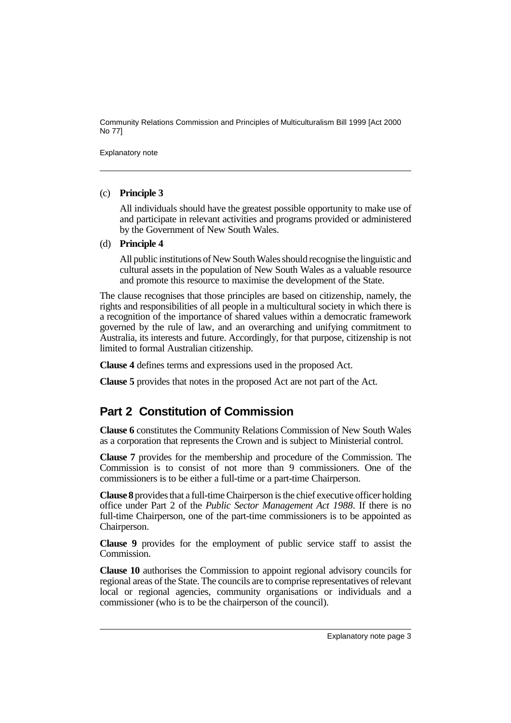Explanatory note

#### (c) **Principle 3**

All individuals should have the greatest possible opportunity to make use of and participate in relevant activities and programs provided or administered by the Government of New South Wales.

#### (d) **Principle 4**

All public institutions of New South Wales should recognise the linguistic and cultural assets in the population of New South Wales as a valuable resource and promote this resource to maximise the development of the State.

The clause recognises that those principles are based on citizenship, namely, the rights and responsibilities of all people in a multicultural society in which there is a recognition of the importance of shared values within a democratic framework governed by the rule of law, and an overarching and unifying commitment to Australia, its interests and future. Accordingly, for that purpose, citizenship is not limited to formal Australian citizenship.

**Clause 4** defines terms and expressions used in the proposed Act.

**Clause 5** provides that notes in the proposed Act are not part of the Act.

# **Part 2 Constitution of Commission**

**Clause 6** constitutes the Community Relations Commission of New South Wales as a corporation that represents the Crown and is subject to Ministerial control.

**Clause 7** provides for the membership and procedure of the Commission. The Commission is to consist of not more than 9 commissioners. One of the commissioners is to be either a full-time or a part-time Chairperson.

**Clause 8** provides that a full-time Chairperson is the chief executive officer holding office under Part 2 of the *Public Sector Management Act 1988*. If there is no full-time Chairperson, one of the part-time commissioners is to be appointed as Chairperson.

**Clause 9** provides for the employment of public service staff to assist the Commission.

**Clause 10** authorises the Commission to appoint regional advisory councils for regional areas of the State. The councils are to comprise representatives of relevant local or regional agencies, community organisations or individuals and a commissioner (who is to be the chairperson of the council).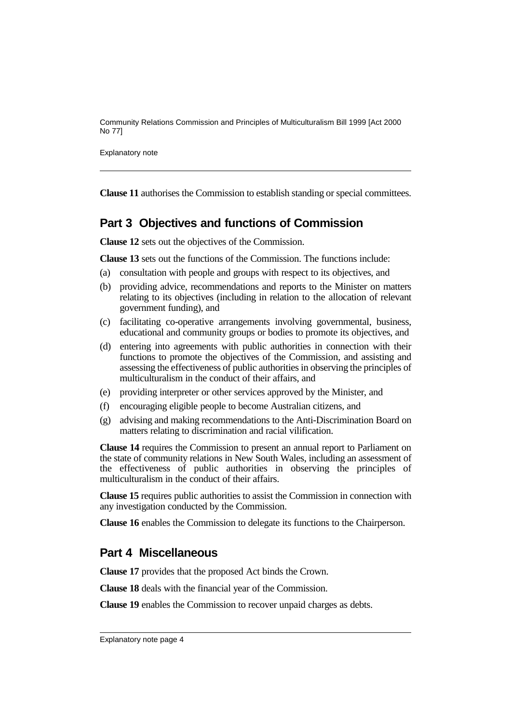Explanatory note

**Clause 11** authorises the Commission to establish standing or special committees.

## **Part 3 Objectives and functions of Commission**

**Clause 12** sets out the objectives of the Commission.

**Clause 13** sets out the functions of the Commission. The functions include:

- (a) consultation with people and groups with respect to its objectives, and
- (b) providing advice, recommendations and reports to the Minister on matters relating to its objectives (including in relation to the allocation of relevant government funding), and
- (c) facilitating co-operative arrangements involving governmental, business, educational and community groups or bodies to promote its objectives, and
- (d) entering into agreements with public authorities in connection with their functions to promote the objectives of the Commission, and assisting and assessing the effectiveness of public authorities in observing the principles of multiculturalism in the conduct of their affairs, and
- (e) providing interpreter or other services approved by the Minister, and
- (f) encouraging eligible people to become Australian citizens, and
- (g) advising and making recommendations to the Anti-Discrimination Board on matters relating to discrimination and racial vilification.

**Clause 14** requires the Commission to present an annual report to Parliament on the state of community relations in New South Wales, including an assessment of the effectiveness of public authorities in observing the principles of multiculturalism in the conduct of their affairs.

**Clause 15** requires public authorities to assist the Commission in connection with any investigation conducted by the Commission.

**Clause 16** enables the Commission to delegate its functions to the Chairperson.

### **Part 4 Miscellaneous**

**Clause 17** provides that the proposed Act binds the Crown.

**Clause 18** deals with the financial year of the Commission.

**Clause 19** enables the Commission to recover unpaid charges as debts.